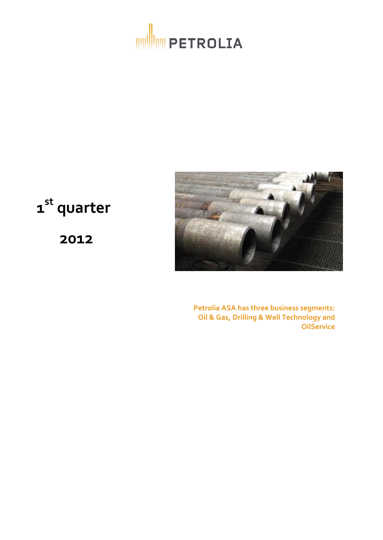



# **1 st quarter**

**2012**

**Petrolia ASA has three business segments: Oil & Gas, Drilling & Well Technology and OilService**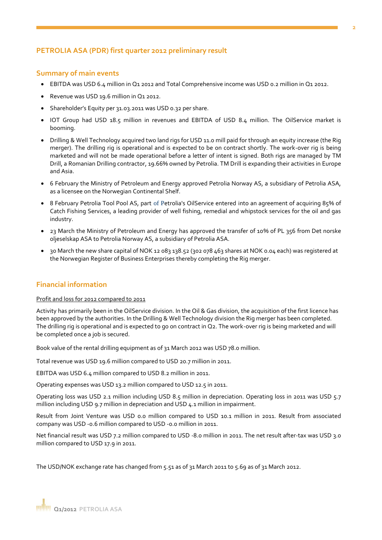# **PETROLIA ASA (PDR) first quarter 2012 preliminary result**

## **Summary of main events**

- EBITDA was USD 6.4 million in Q1 2012 and Total Comprehensive income was USD 0.2 million in Q1 2012.
- Revenue was USD 19.6 million in Q1 2012.
- Shareholder's Equity per 31.03.2011 was USD 0.32 per share.
- IOT Group had USD 18.5 million in revenues and EBITDA of USD 8.4 million. The OilService market is booming.
- Drilling & Well Technology acquired two land rigs for USD 11.0 mill paid for through an equity increase (the Rig merger). The drilling rig is operational and is expected to be on contract shortly. The work-over rig is being marketed and will not be made operational before a letter of intent is signed. Both rigs are managed by TM Drill, a Romanian Drilling contractor, 19.66% owned by Petrolia. TM Drill is expanding their activities in Europe and Asia.
- 6 February the Ministry of Petroleum and Energy approved Petrolia Norway AS, a subsidiary of Petrolia ASA, as a licensee on the Norwegian Continental Shelf.
- 8 February Petrolia Tool Pool AS, part of Petrolia's OilService entered into an agreement of acquiring 85% of Catch Fishing Services, a leading provider of well fishing, remedial and whipstock services for the oil and gas industry.
- 23 March the Ministry of Petroleum and Energy has approved the transfer of 10% of PL 356 from Det norske oljeselskap ASA to Petrolia Norway AS, a subsidiary of Petrolia ASA.
- 30 March the new share capital of NOK 12 083 138.52 (302 078 463 shares at NOK 0.04 each) was registered at the Norwegian Register of Business Enterprises thereby completing the Rig merger.

# **Financial information**

## Profit and loss for 2012 compared to 2011

Activity has primarily been in the OilService division. In the Oil & Gas division, the acquisition of the first licence has been approved by the authorities. In the Drilling & Well Technology division the Rig merger has been completed. The drilling rig is operational and is expected to go on contract in Q2. The work-over rig is being marketed and will be completed once a job is secured.

Book value of the rental drilling equipment as of 31 March 2012 was USD 78.0 million.

Total revenue was USD 19.6 million compared to USD 20.7 million in 2011.

EBITDA was USD 6.4 million compared to USD 8.2 million in 2011.

Operating expenses was USD 13.2 million compared to USD 12.5 in 2011.

Operating loss was USD 2.1 million including USD 8.5 million in depreciation. Operating loss in 2011 was USD 5.7 million including USD 9.7 million in depreciation and USD 4.1 million in impairment.

Result from Joint Venture was USD 0.0 million compared to USD 10.1 million in 2011. Result from associated company was USD -0.6 million compared to USD -0.0 million in 2011.

Net financial result was USD 7.2 million compared to USD -8.0 million in 2011. The net result after-tax was USD 3.0 million compared to USD 17.9 in 2011.

The USD/NOK exchange rate has changed from 5.51 as of 31 March 2011 to 5.69 as of 31 March 2012.

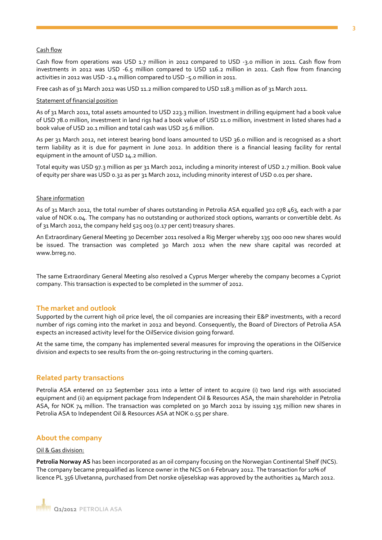## Cash flow

Cash flow from operations was USD 1.7 million in 2012 compared to USD -3.0 million in 2011. Cash flow from investments in 2012 was USD -6.5 million compared to USD 116.2 million in 2011. Cash flow from financing activities in 2012 was USD -2.4 million compared to USD -5.0 million in 2011.

Free cash as of 31 March 2012 was USD 11.2 million compared to USD 118.3 million as of 31 March 2011.

### Statement of financial position

As of 31 March 2011, total assets amounted to USD 223.3 million. Investment in drilling equipment had a book value of USD 78.0 million, investment in land rigs had a book value of USD 11.0 million, investment in listed shares had a book value of USD 20.1 million and total cash was USD 25.6 million.

As per 31 March 2012, net interest bearing bond loans amounted to USD 36.0 million and is recognised as a short term liability as it is due for payment in June 2012. In addition there is a financial leasing facility for rental equipment in the amount of USD 14.2 million.

Total equity was USD 97.3 million as per 31 March 2012, including a minority interest of USD 2.7 million. Book value of equity per share was USD 0.32 as per 31 March 2012, including minority interest of USD 0.01 per share**.** 

### Share information

As of 31 March 2012, the total number of shares outstanding in Petrolia ASA equalled 302 078 463, each with a par value of NOK 0.04. The company has no outstanding or authorized stock options, warrants or convertible debt. As of 31 March 2012, the company held 525 003 (0.17 per cent) treasury shares.

An Extraordinary General Meeting 30 December 2011 resolved a Rig Merger whereby 135 000 000 new shares would be issued. The transaction was completed 30 March 2012 when the new share capital was recorded at www.brreg.no.

The same Extraordinary General Meeting also resolved a Cyprus Merger whereby the company becomes a Cypriot company. This transaction is expected to be completed in the summer of 2012.

## **The market and outlook**

Supported by the current high oil price level, the oil companies are increasing their E&P investments, with a record number of rigs coming into the market in 2012 and beyond. Consequently, the Board of Directors of Petrolia ASA expects an increased activity level for the OilService division going forward.

At the same time, the company has implemented several measures for improving the operations in the OilService division and expects to see results from the on-going restructuring in the coming quarters.

## **Related party transactions**

Petrolia ASA entered on 22 September 2011 into a letter of intent to acquire (i) two land rigs with associated equipment and (ii) an equipment package from Independent Oil & Resources ASA, the main shareholder in Petrolia ASA, for NOK 74 million. The transaction was completed on 30 March 2012 by issuing 135 million new shares in Petrolia ASA to Independent Oil & Resources ASA at NOK 0.55 per share.

## **About the company**

### Oil & Gas division:

**Petrolia Norway AS** has been incorporated as an oil company focusing on the Norwegian Continental Shelf (NCS). The company became prequalified as licence owner in the NCS on 6 February 2012. The transaction for 10% of licence PL 356 Ulvetanna, purchased from Det norske oljeselskap was approved by the authorities 24 March 2012.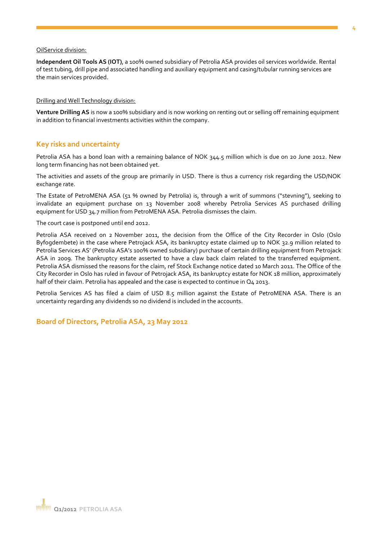#### OilService division:

**Independent Oil Tools AS (IOT)**, a 100% owned subsidiary of Petrolia ASA provides oil services worldwide. Rental of test tubing, drill pipe and associated handling and auxiliary equipment and casing/tubular running services are the main services provided.

#### Drilling and Well Technology division:

**Venture Drilling AS** is now a 100% subsidiary and is now working on renting out or selling off remaining equipment in addition to financial investments activities within the company.

## **Key risks and uncertainty**

Petrolia ASA has a bond loan with a remaining balance of NOK 344.5 million which is due on 20 June 2012. New long term financing has not been obtained yet.

The activities and assets of the group are primarily in USD. There is thus a currency risk regarding the USD/NOK exchange rate.

The Estate of PetroMENA ASA (51 % owned by Petrolia) is, through a writ of summons ("stevning"), seeking to invalidate an equipment purchase on 13 November 2008 whereby Petrolia Services AS purchased drilling equipment for USD 34.7 million from PetroMENA ASA. Petrolia dismisses the claim.

The court case is postponed until end 2012.

Petrolia ASA received on 2 November 2011, the decision from the Office of the City Recorder in Oslo (Oslo Byfogdembete) in the case where Petrojack ASA, its bankruptcy estate claimed up to NOK 32.9 million related to Petrolia Services AS' (Petrolia ASA's 100% owned subsidiary) purchase of certain drilling equipment from Petrojack ASA in 2009. The bankruptcy estate asserted to have a claw back claim related to the transferred equipment. Petrolia ASA dismissed the reasons for the claim, ref Stock Exchange notice dated 10 March 2011. The Office of the City Recorder in Oslo has ruled in favour of Petrojack ASA, its bankruptcy estate for NOK 18 million, approximately half of their claim. Petrolia has appealed and the case is expected to continue in Q4 2013.

Petrolia Services AS has filed a claim of USD 8.5 million against the Estate of PetroMENA ASA. There is an uncertainty regarding any dividends so no dividend is included in the accounts.

**Board of Directors, Petrolia ASA, 23 May 2012**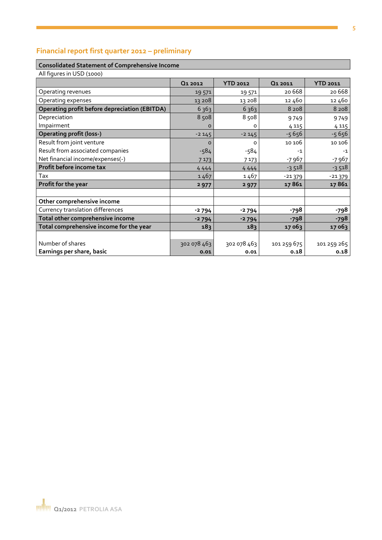# **Financial report first quarter 2012 – preliminary**

#### **Consolidated Statement of Comprehensive Income**

| All figures in USD (1000)                            |             |                 |                     |                 |
|------------------------------------------------------|-------------|-----------------|---------------------|-----------------|
|                                                      | Q1 2012     | <b>YTD 2012</b> | Q <sub>1</sub> 2011 | <b>YTD 2011</b> |
| Operating revenues                                   | 19 571      | 19 571          | 20668               | 20 6 68         |
| Operating expenses                                   | 13 208      | 13 208          | 12460               | 12 460          |
| <b>Operating profit before depreciation (EBITDA)</b> | 6363        | 6363            | 8 2 0 8             | 8 2 0 8         |
| Depreciation                                         | 8508        | 8508            | 9749                | 9749            |
| Impairment                                           | $\circ$     | o               | 4 1 1 5             | 4 1 1 5         |
| <b>Operating profit (loss-)</b>                      | $-2145$     | $-2145$         | $-5656$             | $-5656$         |
| Result from joint venture                            | $\Omega$    | o               | 10 106              | 10 106          |
| Result from associated companies                     | $-584$      | $-584$          | $-1$                | $-1$            |
| Net financial income/expenses(-)                     | 7 1 7 3     | 7 1 7 3         | -7 967              | -7 967          |
| Profit before income tax                             | 4444        | 4444            | $-3518$             | $-3518$         |
| Tax                                                  | 1467        | 1467            | $-21379$            | $-21379$        |
| Profit for the year                                  | 2977        | 2977            | 17861               | 17861           |
|                                                      |             |                 |                     |                 |
| Other comprehensive income                           |             |                 |                     |                 |
| Currency translation differences                     | $-2794$     | $-2794$         | -798                | -798            |
| Total other comprehensive income                     | $-2794$     | $-2794$         | -798                | -798            |
| Total comprehensive income for the year              | 183         | 183             | 17 063              | 17063           |
|                                                      |             |                 |                     |                 |
| Number of shares                                     | 302 078 463 | 302 078 463     | 101 259 675         | 101 259 265     |
| Earnings per share, basic                            | 0.01        | 0.01            | 0.18                | 0.18            |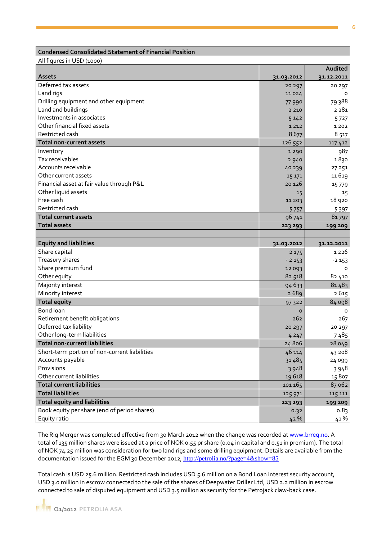## **Condensed Consolidated Statement of Financial Position**

All figures in USD (1000)

|                                               |            | Audited    |
|-----------------------------------------------|------------|------------|
| <b>Assets</b>                                 | 31.03.2012 | 31.12.2011 |
| Deferred tax assets                           | 20 297     | 20 297     |
| Land rigs                                     | 11024      | O          |
| Drilling equipment and other equipment        | 77 990     | 79 388     |
| Land and buildings                            | 2 2 1 0    | 2 2 8 1    |
| Investments in associates                     | 5142       | 5727       |
| Other financial fixed assets                  | 1 2 1 2    | 1 2 0 2    |
| Restricted cash                               | 8677       | 8 5 17     |
| <b>Total non-current assets</b>               | 126 552    | 117 412    |
| Inventory                                     | 1290       | 987        |
| Tax receivables                               | 2940       | 1830       |
| Accounts receivable                           | 40 239     | 27 2 51    |
| Other current assets                          | 15 17 1    | 11619      |
| Financial asset at fair value through P&L     | 20 1 26    | 15779      |
| Other liquid assets                           | 15         | 15         |
| Free cash                                     | 11 203     | 18 920     |
| Restricted cash                               | 5757       | 5397       |
| <b>Total current assets</b>                   | 96 741     | 81797      |
| <b>Total assets</b>                           | 223 293    | 199 209    |
|                                               |            |            |
| <b>Equity and liabilities</b>                 | 31.03.2012 | 31.12.2011 |
| Share capital                                 | 2 1 7 5    | 1 2 2 6    |
| Treasury shares                               | $-2153$    | $-2153$    |
| Share premium fund                            | 12 093     | O          |
| Other equity                                  | 82 518     | 82 410     |
| Majority interest                             | 94 633     | 81483      |
| Minority interest                             | 2689       | 2615       |
| <b>Total equity</b>                           | 97322      | 84 098     |
| Bond loan                                     | o          | 0          |
| Retirement benefit obligations                | 262        | 267        |
| Deferred tax liability                        | 20 297     | 20 297     |
| Other long-term liabilities                   | 4 2 4 7    | 7485       |
| <b>Total non-current liabilities</b>          | 24806      | 28 049     |
| Short-term portion of non-current liabilities | 46 114     | 43 208     |
| Accounts payable                              | 31485      | 24 099     |
| Provisions                                    | 3948       | 3948       |
| Other current liabilities                     | 19618      | 15807      |
| <b>Total current liabilities</b>              | 101 165    | 87 062     |
| <b>Total liabilities</b>                      | 125 971    | 115 111    |
| <b>Total equity and liabilities</b>           | 223 293    | 199 209    |
| Book equity per share (end of period shares)  | 0.32       | 0.83       |
| Equity ratio                                  | 42 %       | 41%        |

The Rig Merger was completed effective from 30 March 2012 when the change was recorded a[t www.brreg.no.](http://www.brreg.no/) A total of 135 million shares were issued at a price of NOK 0.55 pr share (0.04 in capital and 0.51 in premium). The total of NOK 74.25 million was consideration for two land rigs and some drilling equipment. Details are available from the documentation issued for the EGM 30 December 2012, <http://petrolia.no/?page=4&show=85>

Total cash is USD 25.6 million. Restricted cash includes USD 5.6 million on a Bond Loan interest security account, USD 3.0 million in escrow connected to the sale of the shares of Deepwater Driller Ltd, USD 2.2 million in escrow connected to sale of disputed equipment and USD 3.5 million as security for the Petrojack claw-back case.

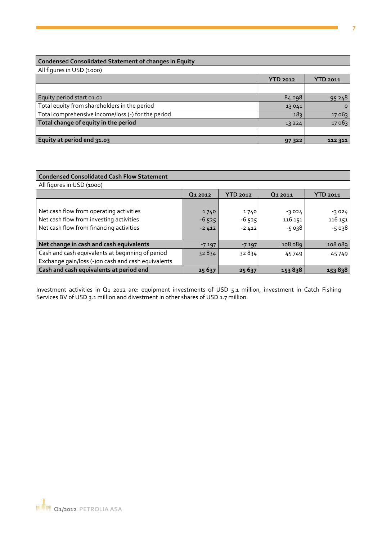# **Condensed Consolidated Statement of changes in Equity**

| All figures in USD (1000)                          |                 |          |
|----------------------------------------------------|-----------------|----------|
|                                                    | <b>YTD 2012</b> | YTD 2011 |
|                                                    |                 |          |
| Equity period start 01.01                          | 84 098          | 95 248   |
| Total equity from shareholders in the period       | 13041           | $\circ$  |
| Total comprehensive income/loss (-) for the period | 183             | 17 06 3  |
| Total change of equity in the period               | 13224           | 17 063   |
|                                                    |                 |          |
| Equity at period end 31.03                         | 97 322          | 112 311  |

| <b>Condensed Consolidated Cash Flow Statement</b>                                                                             |                            |                            |                               |                               |
|-------------------------------------------------------------------------------------------------------------------------------|----------------------------|----------------------------|-------------------------------|-------------------------------|
| All figures in USD (1000)                                                                                                     |                            |                            |                               |                               |
|                                                                                                                               | Q <sub>1</sub> 2012        | <b>YTD 2012</b>            | Q <sub>1</sub> 2011           | <b>YTD 2011</b>               |
| Net cash flow from operating activities<br>Net cash flow from investing activities<br>Net cash flow from financing activities | 1740<br>$-6525$<br>$-2412$ | 1740<br>$-6525$<br>$-2412$ | $-3024$<br>116 151<br>$-5038$ | $-3024$<br>116 151<br>$-5038$ |
| Net change in cash and cash equivalents                                                                                       | $-7197$                    | $-7197$                    | 108 089                       | 108 089                       |
| Cash and cash equivalents at beginning of period                                                                              | 32834                      | 32834                      | 45749                         | 45749                         |
| Exchange gain/loss (-)on cash and cash equivalents                                                                            |                            |                            |                               |                               |
| Cash and cash equivalents at period end                                                                                       | 25 6 37                    | 25 6 37                    | 153838                        | 153838                        |

Investment activities in Q1 2012 are: equipment investments of USD 5.1 million, investment in Catch Fishing Services BV of USD 3.1 million and divestment in other shares of USD 1.7 million.

**7**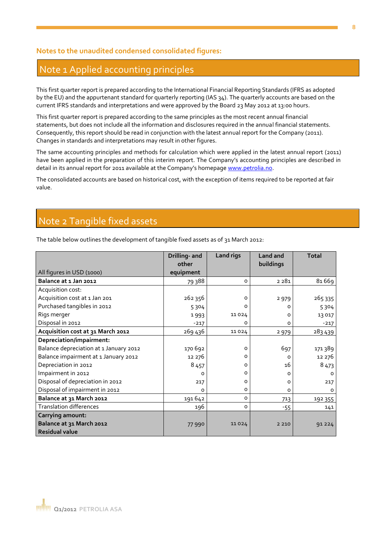# **Notes to the unaudited condensed consolidated figures:**

# Note 1 Applied accounting principles

This first quarter report is prepared according to the International Financial Reporting Standards (IFRS as adopted by the EU) and the appurtenant standard for quarterly reporting (IAS 34). The quarterly accounts are based on the current IFRS standards and interpretations and were approved by the Board 23 May 2012 at 13:00 hours.

This first quarter report is prepared according to the same principles as the most recent annual financial statements, but does not include all the information and disclosures required in the annual financial statements. Consequently, this report should be read in conjunction with the latest annual report for the Company (2011). Changes in standards and interpretations may result in other figures.

The same accounting principles and methods for calculation which were applied in the latest annual report (2011) have been applied in the preparation of this interim report. The Company's accounting principles are described in detail in its annual report for 2011 available at the Company's homepage [www.petrolia.no.](http://www.petrolia.no/)

The consolidated accounts are based on historical cost, with the exception of items required to be reported at fair value.

# Note 2 Tangible fixed assets

The table below outlines the development of tangible fixed assets as of 31 March 2012:

|                                        | <b>Drilling- and</b> | <b>Land rigs</b> | <b>Land and</b> | <b>Total</b> |
|----------------------------------------|----------------------|------------------|-----------------|--------------|
|                                        | other                |                  | buildings       |              |
| All figures in USD (1000)              | equipment            |                  |                 |              |
| Balance at 1 Jan 2012                  | 79 388               | o                | 2 2 8 1         | 81669        |
| Acquisition cost:                      |                      |                  |                 |              |
| Acquisition cost at 1 Jan 201          | 262 356              | 0                | 2 9 7 9         | 265335       |
| Purchased tangibles in 2012            | 5304                 | O                | 0               | 5304         |
| Rigs merger                            | 1993                 | 11024            | 0               | 13 017       |
| Disposal in 2012                       | $-217$               | $\Omega$         | O               | $-217$       |
| Acquisition cost at 31 March 2012      | 269 436              | 11024            | 2979            | 283 439      |
| Depreciation/impairment:               |                      |                  |                 |              |
| Balance depreciation at 1 January 2012 | 170 692              | $\circ$          | 697             | 171 389      |
| Balance impairment at 1 January 2012   | 12 276               | 0                | $\Omega$        | 12 276       |
| Depreciation in 2012                   | 8457                 | 0                | 16              | 8 4 7 3      |
| Impairment in 2012                     | $\Omega$             | $\circ$          | O               | $\Omega$     |
| Disposal of depreciation in 2012       | 217                  | O                | 0               | 217          |
| Disposal of impairment in 2012         | O                    | o                | 0               | 0            |
| Balance at 31 March 2012               | 191642               | o                | 713             | 192 355      |
| <b>Translation differences</b>         | 196                  | o                | -55             | 141          |
| <b>Carrying amount:</b>                |                      |                  |                 |              |
| Balance at 31 March 2012               | 77990                | 11024            | 2 2 1 0         | 91 2 2 4     |
| <b>Residual value</b>                  |                      |                  |                 |              |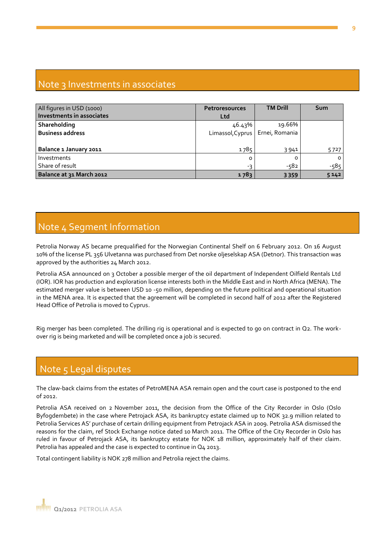# Note 3 Investments in associates

| All figures in USD (1000) | <b>Petroresources</b>             | <b>TM Drill</b> | Sum     |
|---------------------------|-----------------------------------|-----------------|---------|
| Investments in associates | <b>Ltd</b>                        |                 |         |
| Shareholding              | 46.43%                            | 19.66%          |         |
| <b>Business address</b>   | Limassol, Cyprus   Ernei, Romania |                 |         |
|                           |                                   |                 |         |
| Balance 1 January 2011    | 1785                              | 3941            | 5727    |
| Investments               | 0                                 | O               | $\circ$ |
| Share of result           | -3                                | $-582$          | $-585$  |
| Balance at 31 March 2012  | 1783                              | 3359            | 5142    |

# Note 4 Segment Information

Petrolia Norway AS became prequalified for the Norwegian Continental Shelf on 6 February 2012. On 16 August 10% of the license PL 356 Ulvetanna was purchased from Det norske oljeselskap ASA (Detnor). This transaction was approved by the authorities 24 March 2012.

Petrolia ASA announced on 3 October a possible merger of the oil department of Independent Oilfield Rentals Ltd (IOR). IOR has production and exploration license interests both in the Middle East and in North Africa (MENA). The estimated merger value is between USD 10 -50 million, depending on the future political and operational situation in the MENA area. It is expected that the agreement will be completed in second half of 2012 after the Registered Head Office of Petrolia is moved to Cyprus.

Rig merger has been completed. The drilling rig is operational and is expected to go on contract in Q2. The workover rig is being marketed and will be completed once a job is secured.

# Note 5 Legal disputes

The claw-back claims from the estates of PetroMENA ASA remain open and the court case is postponed to the end  $of 2012$ 

Petrolia ASA received on 2 November 2011, the decision from the Office of the City Recorder in Oslo (Oslo Byfogdembete) in the case where Petrojack ASA, its bankruptcy estate claimed up to NOK 32.9 million related to Petrolia Services AS' purchase of certain drilling equipment from Petrojack ASA in 2009. Petrolia ASA dismissed the reasons for the claim, ref Stock Exchange notice dated 10 March 2011. The Office of the City Recorder in Oslo has ruled in favour of Petrojack ASA, its bankruptcy estate for NOK 18 million, approximately half of their claim. Petrolia has appealed and the case is expected to continue in Q4 2013.

Total contingent liability is NOK 278 million and Petrolia reject the claims.